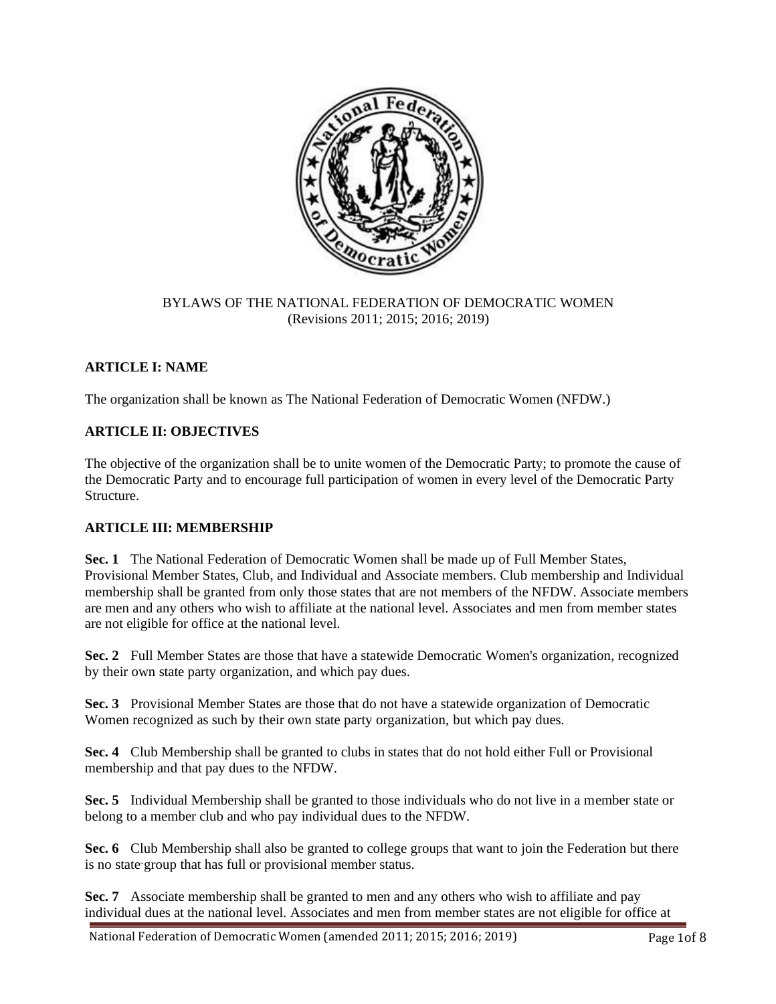

#### BYLAWS OF THE NATIONAL FEDERATION OF DEMOCRATIC WOMEN (Revisions 2011; 2015; 2016; 2019)

# **ARTICLE I: NAME**

The organization shall be known as The National Federation of Democratic Women (NFDW.)

## **ARTICLE II: OBJECTIVES**

The objective of the organization shall be to unite women of the Democratic Party; to promote the cause of the Democratic Party and to encourage full participation of women in every level of the Democratic Party Structure.

#### **ARTICLE III: MEMBERSHIP**

**Sec. 1** The National Federation of Democratic Women shall be made up of Full Member States, Provisional Member States, Club, and Individual and Associate members. Club membership and Individual membership shall be granted from only those states that are not members of the NFDW. Associate members are men and any others who wish to affiliate at the national level. Associates and men from member states are not eligible for office at the national level.

**Sec. 2** Full Member States are those that have a statewide Democratic Women's organization, recognized by their own state party organization, and which pay dues.

**Sec. 3** Provisional Member States are those that do not have a statewide organization of Democratic Women recognized as such by their own state party organization, but which pay dues.

**Sec. 4** Club Membership shall be granted to clubs in states that do not hold either Full or Provisional membership and that pay dues to the NFDW.

**Sec. 5** Individual Membership shall be granted to those individuals who do not live in a member state or belong to a member club and who pay individual dues to the NFDW.

**Sec. 6** Club Membership shall also be granted to college groups that want to join the Federation but there is no state group that has full or provisional member status.

**Sec. 7** Associate membership shall be granted to men and any others who wish to affiliate and pay individual dues at the national level. Associates and men from member states are not eligible for office at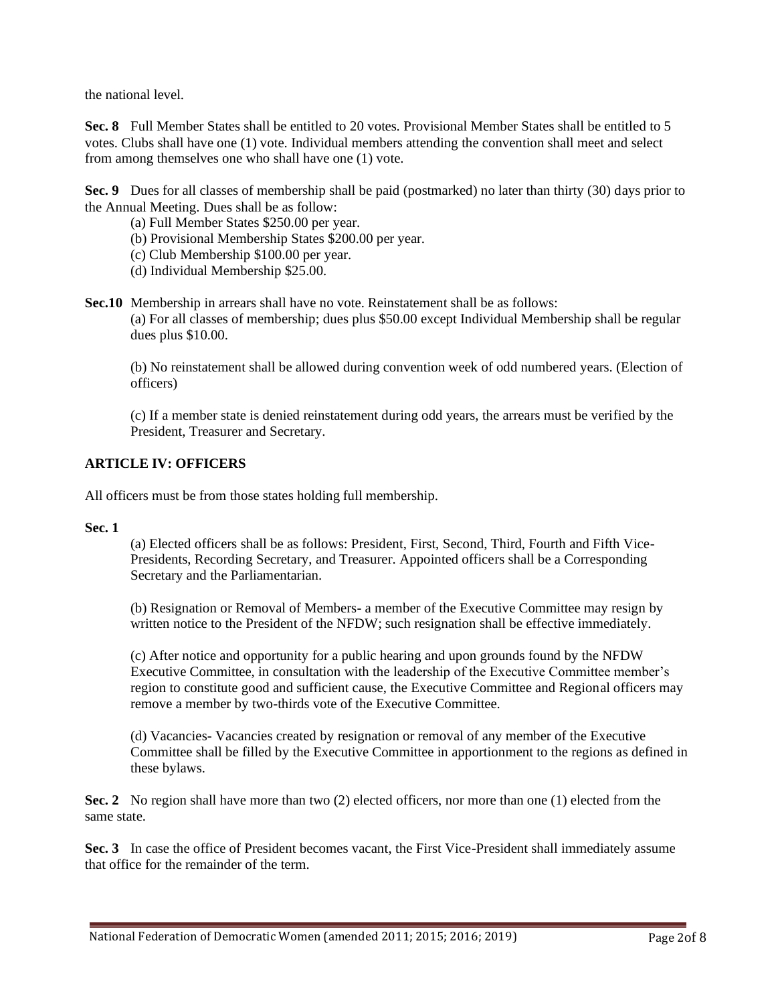the national level.

**Sec. 8** Full Member States shall be entitled to 20 votes. Provisional Member States shall be entitled to 5 votes. Clubs shall have one (1) vote. Individual members attending the convention shall meet and select from among themselves one who shall have one (1) vote.

**Sec. 9** Dues for all classes of membership shall be paid (postmarked) no later than thirty (30) days prior to the Annual Meeting. Dues shall be as follow:

- (a) Full Member States \$250.00 per year.
- (b) Provisional Membership States \$200.00 per year.
- (c) Club Membership \$100.00 per year.
- (d) Individual Membership \$25.00.
- **Sec.10** Membership in arrears shall have no vote. Reinstatement shall be as follows: (a) For all classes of membership; dues plus \$50.00 except Individual Membership shall be regular dues plus \$10.00.

(b) No reinstatement shall be allowed during convention week of odd numbered years. (Election of officers)

(c) If a member state is denied reinstatement during odd years, the arrears must be verified by the President, Treasurer and Secretary.

#### **ARTICLE IV: OFFICERS**

All officers must be from those states holding full membership.

#### **Sec. 1**

(a) Elected officers shall be as follows: President, First, Second, Third, Fourth and Fifth Vice-Presidents, Recording Secretary, and Treasurer. Appointed officers shall be a Corresponding Secretary and the Parliamentarian.

(b) Resignation or Removal of Members- a member of the Executive Committee may resign by written notice to the President of the NFDW; such resignation shall be effective immediately.

(c) After notice and opportunity for a public hearing and upon grounds found by the NFDW Executive Committee, in consultation with the leadership of the Executive Committee member's region to constitute good and sufficient cause, the Executive Committee and Regional officers may remove a member by two-thirds vote of the Executive Committee.

(d) Vacancies- Vacancies created by resignation or removal of any member of the Executive Committee shall be filled by the Executive Committee in apportionment to the regions as defined in these bylaws.

**Sec. 2** No region shall have more than two (2) elected officers, nor more than one (1) elected from the same state.

**Sec. 3** In case the office of President becomes vacant, the First Vice-President shall immediately assume that office for the remainder of the term.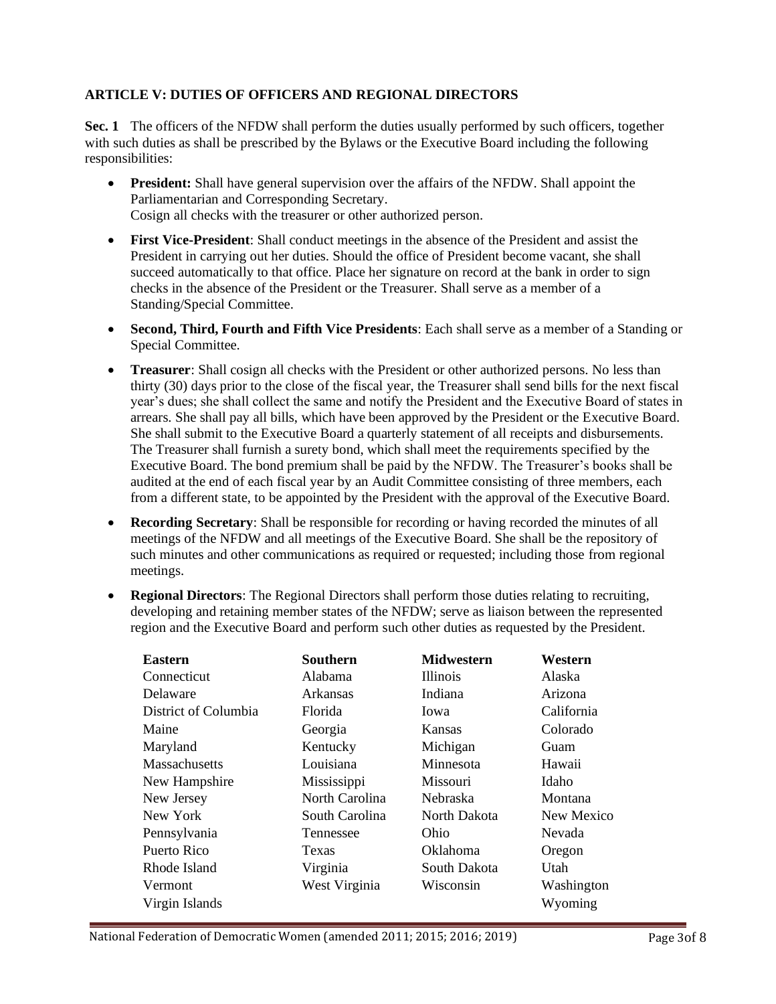# **ARTICLE V: DUTIES OF OFFICERS AND REGIONAL DIRECTORS**

**Sec. 1** The officers of the NFDW shall perform the duties usually performed by such officers, together with such duties as shall be prescribed by the Bylaws or the Executive Board including the following responsibilities:

- **President:** Shall have general supervision over the affairs of the NFDW. Shall appoint the Parliamentarian and Corresponding Secretary. Cosign all checks with the treasurer or other authorized person.
- **First Vice-President**: Shall conduct meetings in the absence of the President and assist the President in carrying out her duties. Should the office of President become vacant, she shall succeed automatically to that office. Place her signature on record at the bank in order to sign checks in the absence of the President or the Treasurer. Shall serve as a member of a Standing/Special Committee.
- **Second, Third, Fourth and Fifth Vice Presidents**: Each shall serve as a member of a Standing or Special Committee.
- **Treasurer**: Shall cosign all checks with the President or other authorized persons. No less than thirty (30) days prior to the close of the fiscal year, the Treasurer shall send bills for the next fiscal year's dues; she shall collect the same and notify the President and the Executive Board of states in arrears. She shall pay all bills, which have been approved by the President or the Executive Board. She shall submit to the Executive Board a quarterly statement of all receipts and disbursements. The Treasurer shall furnish a surety bond, which shall meet the requirements specified by the Executive Board. The bond premium shall be paid by the NFDW. The Treasurer's books shall be audited at the end of each fiscal year by an Audit Committee consisting of three members, each from a different state, to be appointed by the President with the approval of the Executive Board.
- **Recording Secretary**: Shall be responsible for recording or having recorded the minutes of all meetings of the NFDW and all meetings of the Executive Board. She shall be the repository of such minutes and other communications as required or requested; including those from regional meetings.
- **Regional Directors**: The Regional Directors shall perform those duties relating to recruiting, developing and retaining member states of the NFDW; serve as liaison between the represented region and the Executive Board and perform such other duties as requested by the President.

| <b>Eastern</b>       | <b>Southern</b> | <b>Midwestern</b> | Western    |
|----------------------|-----------------|-------------------|------------|
| Connecticut          | Alabama         | <b>Illinois</b>   | Alaska     |
| Delaware             | Arkansas        | Indiana           | Arizona    |
| District of Columbia | Florida         | Iowa              | California |
| Maine                | Georgia         | Kansas            | Colorado   |
| Maryland             | Kentucky        | Michigan          | Guam       |
| <b>Massachusetts</b> | Louisiana       | Minnesota         | Hawaii     |
| New Hampshire        | Mississippi     | <b>Missouri</b>   | Idaho      |
| New Jersey           | North Carolina  | <b>Nebraska</b>   | Montana    |
| New York             | South Carolina  | North Dakota      | New Mexico |
| Pennsylvania         | Tennessee       | Ohio              | Nevada     |
| Puerto Rico          | Texas           | Oklahoma          | Oregon     |
| Rhode Island         | Virginia        | South Dakota      | Utah       |
| Vermont              | West Virginia   | Wisconsin         | Washington |
| Virgin Islands       |                 |                   | Wyoming    |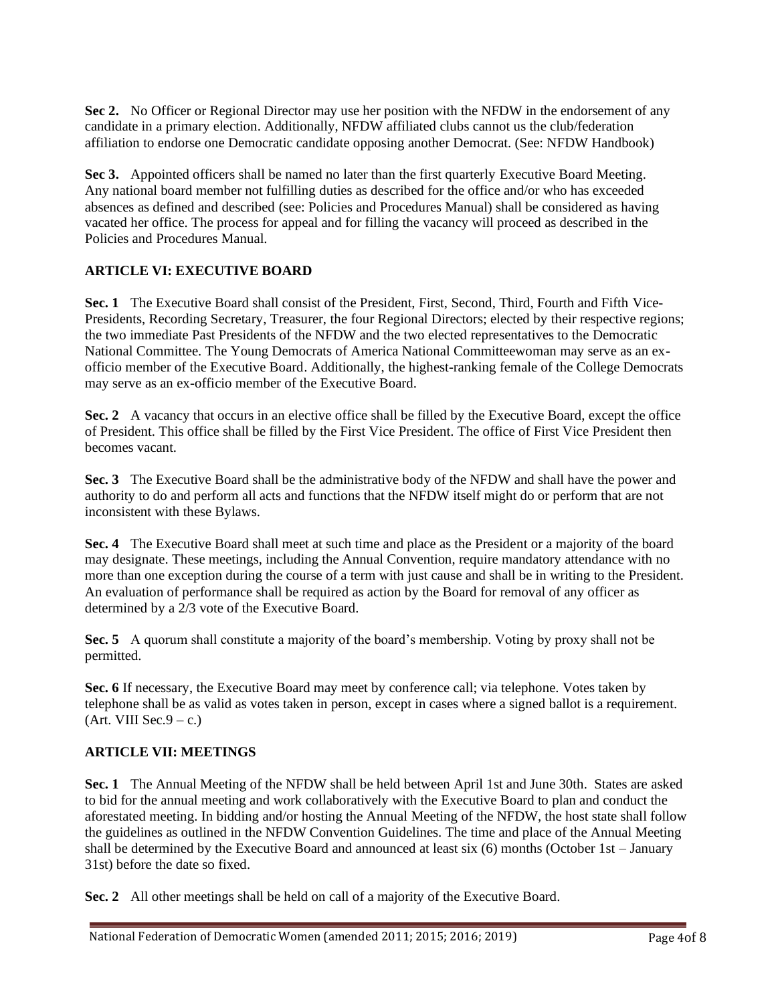**Sec 2.** No Officer or Regional Director may use her position with the NFDW in the endorsement of any candidate in a primary election. Additionally, NFDW affiliated clubs cannot us the club/federation affiliation to endorse one Democratic candidate opposing another Democrat. (See: NFDW Handbook)

**Sec 3.** Appointed officers shall be named no later than the first quarterly Executive Board Meeting. Any national board member not fulfilling duties as described for the office and/or who has exceeded absences as defined and described (see: Policies and Procedures Manual) shall be considered as having vacated her office. The process for appeal and for filling the vacancy will proceed as described in the Policies and Procedures Manual.

# **ARTICLE VI: EXECUTIVE BOARD**

**Sec. 1** The Executive Board shall consist of the President, First, Second, Third, Fourth and Fifth Vice-Presidents, Recording Secretary, Treasurer, the four Regional Directors; elected by their respective regions; the two immediate Past Presidents of the NFDW and the two elected representatives to the Democratic National Committee. The Young Democrats of America National Committeewoman may serve as an exofficio member of the Executive Board. Additionally, the highest-ranking female of the College Democrats may serve as an ex-officio member of the Executive Board.

**Sec. 2** A vacancy that occurs in an elective office shall be filled by the Executive Board, except the office of President. This office shall be filled by the First Vice President. The office of First Vice President then becomes vacant.

**Sec. 3** The Executive Board shall be the administrative body of the NFDW and shall have the power and authority to do and perform all acts and functions that the NFDW itself might do or perform that are not inconsistent with these Bylaws.

**Sec. 4** The Executive Board shall meet at such time and place as the President or a majority of the board may designate. These meetings, including the Annual Convention, require mandatory attendance with no more than one exception during the course of a term with just cause and shall be in writing to the President. An evaluation of performance shall be required as action by the Board for removal of any officer as determined by a  $2/3$  vote of the Executive Board.

**Sec. 5** A quorum shall constitute a majority of the board's membership. Voting by proxy shall not be permitted.

Sec. 6 If necessary, the Executive Board may meet by conference call; via telephone. Votes taken by telephone shall be as valid as votes taken in person, except in cases where a signed ballot is a requirement.  $(Art. VIII Sec.9 - c.)$ 

## **ARTICLE VII: MEETINGS**

**Sec. 1** The Annual Meeting of the NFDW shall be held between April 1st and June 30th. States are asked to bid for the annual meeting and work collaboratively with the Executive Board to plan and conduct the aforestated meeting. In bidding and/or hosting the Annual Meeting of the NFDW, the host state shall follow the guidelines as outlined in the NFDW Convention Guidelines. The time and place of the Annual Meeting shall be determined by the Executive Board and announced at least six (6) months (October 1st – January 31st) before the date so fixed.

**Sec. 2** All other meetings shall be held on call of a majority of the Executive Board.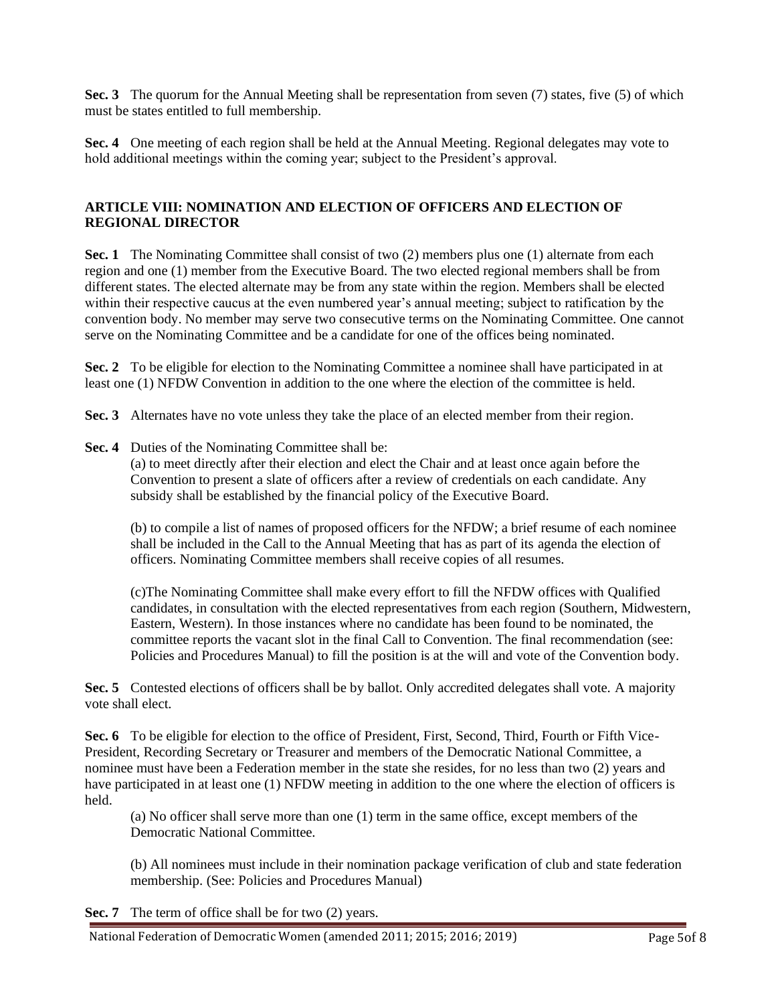**Sec. 3** The quorum for the Annual Meeting shall be representation from seven (7) states, five (5) of which must be states entitled to full membership.

**Sec. 4** One meeting of each region shall be held at the Annual Meeting. Regional delegates may vote to hold additional meetings within the coming year; subject to the President's approval.

## **ARTICLE VIII: NOMINATION AND ELECTION OF OFFICERS AND ELECTION OF REGIONAL DIRECTOR**

**Sec. 1** The Nominating Committee shall consist of two (2) members plus one (1) alternate from each region and one (1) member from the Executive Board. The two elected regional members shall be from different states. The elected alternate may be from any state within the region. Members shall be elected within their respective caucus at the even numbered year's annual meeting; subject to ratification by the convention body. No member may serve two consecutive terms on the Nominating Committee. One cannot serve on the Nominating Committee and be a candidate for one of the offices being nominated.

**Sec. 2** To be eligible for election to the Nominating Committee a nominee shall have participated in at least one (1) NFDW Convention in addition to the one where the election of the committee is held.

Sec. 3 Alternates have no vote unless they take the place of an elected member from their region.

**Sec. 4** Duties of the Nominating Committee shall be:

(a) to meet directly after their election and elect the Chair and at least once again before the Convention to present a slate of officers after a review of credentials on each candidate. Any subsidy shall be established by the financial policy of the Executive Board.

(b) to compile a list of names of proposed officers for the NFDW; a brief resume of each nominee shall be included in the Call to the Annual Meeting that has as part of its agenda the election of officers. Nominating Committee members shall receive copies of all resumes.

(c)The Nominating Committee shall make every effort to fill the NFDW offices with Qualified candidates, in consultation with the elected representatives from each region (Southern, Midwestern, Eastern, Western). In those instances where no candidate has been found to be nominated, the committee reports the vacant slot in the final Call to Convention. The final recommendation (see: Policies and Procedures Manual) to fill the position is at the will and vote of the Convention body.

Sec. 5 Contested elections of officers shall be by ballot. Only accredited delegates shall vote. A majority vote shall elect.

**Sec. 6** To be eligible for election to the office of President, First, Second, Third, Fourth or Fifth Vice-President, Recording Secretary or Treasurer and members of the Democratic National Committee, a nominee must have been a Federation member in the state she resides, for no less than two (2) years and have participated in at least one (1) NFDW meeting in addition to the one where the election of officers is held.

(a) No officer shall serve more than one (1) term in the same office, except members of the Democratic National Committee.

(b) All nominees must include in their nomination package verification of club and state federation membership. (See: Policies and Procedures Manual)

**Sec. 7** The term of office shall be for two (2) years.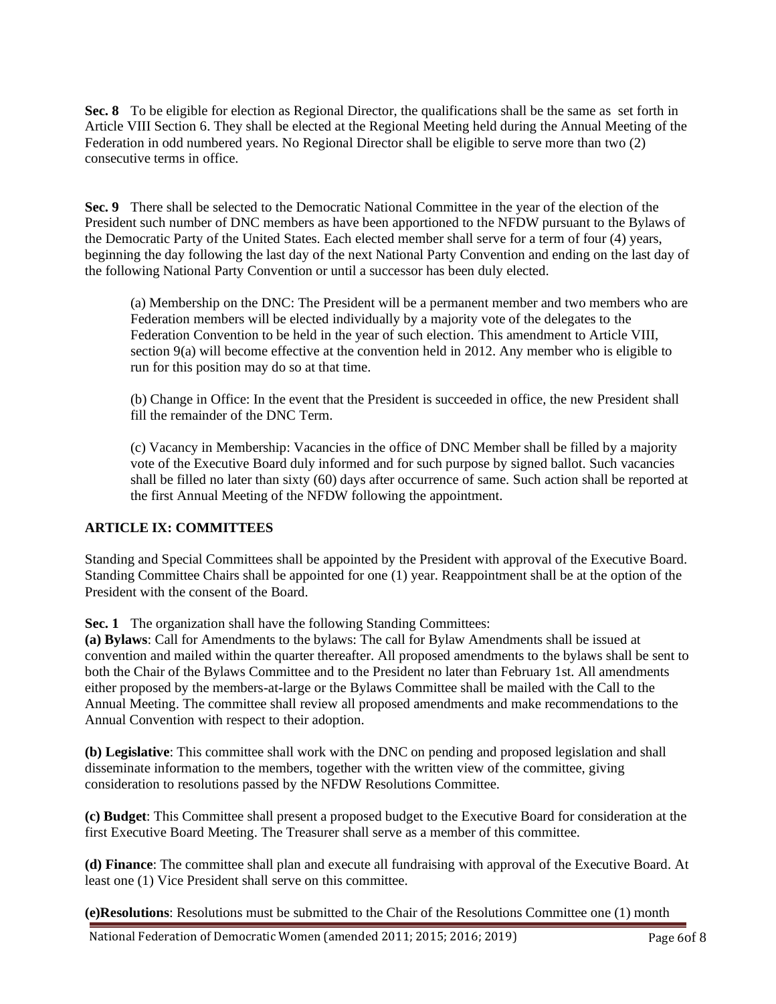**Sec. 8** To be eligible for election as Regional Director, the qualifications shall be the same as set forth in Article VIII Section 6. They shall be elected at the Regional Meeting held during the Annual Meeting of the Federation in odd numbered years. No Regional Director shall be eligible to serve more than two (2) consecutive terms in office.

**Sec. 9** There shall be selected to the Democratic National Committee in the year of the election of the President such number of DNC members as have been apportioned to the NFDW pursuant to the Bylaws of the Democratic Party of the United States. Each elected member shall serve for a term of four (4) years, beginning the day following the last day of the next National Party Convention and ending on the last day of the following National Party Convention or until a successor has been duly elected.

(a) Membership on the DNC: The President will be a permanent member and two members who are Federation members will be elected individually by a majority vote of the delegates to the Federation Convention to be held in the year of such election. This amendment to Article VIII, section 9(a) will become effective at the convention held in 2012. Any member who is eligible to run for this position may do so at that time.

(b) Change in Office: In the event that the President is succeeded in office, the new President shall fill the remainder of the DNC Term.

(c) Vacancy in Membership: Vacancies in the office of DNC Member shall be filled by a majority vote of the Executive Board duly informed and for such purpose by signed ballot. Such vacancies shall be filled no later than sixty (60) days after occurrence of same. Such action shall be reported at the first Annual Meeting of the NFDW following the appointment.

#### **ARTICLE IX: COMMITTEES**

Standing and Special Committees shall be appointed by the President with approval of the Executive Board. Standing Committee Chairs shall be appointed for one (1) year. Reappointment shall be at the option of the President with the consent of the Board.

**Sec. 1** The organization shall have the following Standing Committees:

**(a) Bylaws**: Call for Amendments to the bylaws: The call for Bylaw Amendments shall be issued at convention and mailed within the quarter thereafter. All proposed amendments to the bylaws shall be sent to both the Chair of the Bylaws Committee and to the President no later than February 1st. All amendments either proposed by the members-at-large or the Bylaws Committee shall be mailed with the Call to the Annual Meeting. The committee shall review all proposed amendments and make recommendations to the Annual Convention with respect to their adoption.

**(b) Legislative**: This committee shall work with the DNC on pending and proposed legislation and shall disseminate information to the members, together with the written view of the committee, giving consideration to resolutions passed by the NFDW Resolutions Committee.

**(c) Budget**: This Committee shall present a proposed budget to the Executive Board for consideration at the first Executive Board Meeting. The Treasurer shall serve as a member of this committee.

**(d) Finance**: The committee shall plan and execute all fundraising with approval of the Executive Board. At least one (1) Vice President shall serve on this committee.

**(e)Resolutions**: Resolutions must be submitted to the Chair of the Resolutions Committee one (1) month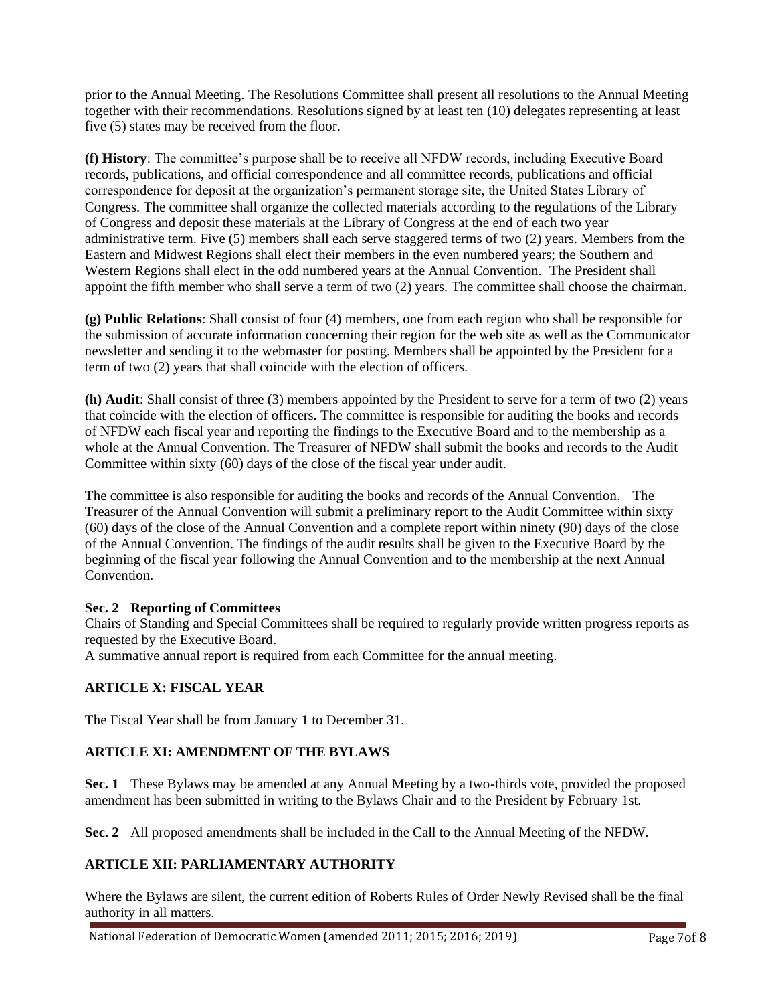prior to the Annual Meeting. The Resolutions Committee shall present all resolutions to the Annual Meeting together with their recommendations. Resolutions signed by at least ten (10) delegates representing at least five (5) states may be received from the floor.

**(f) History**: The committee's purpose shall be to receive all NFDW records, including Executive Board records, publications, and official correspondence and all committee records, publications and official correspondence for deposit at the organization's permanent storage site, the United States Library of Congress. The committee shall organize the collected materials according to the regulations of the Library of Congress and deposit these materials at the Library of Congress at the end of each two year administrative term. Five (5) members shall each serve staggered terms of two (2) years. Members from the Eastern and Midwest Regions shall elect their members in the even numbered years; the Southern and Western Regions shall elect in the odd numbered years at the Annual Convention. The President shall appoint the fifth member who shall serve a term of two (2) years. The committee shall choose the chairman.

**(g) Public Relations**: Shall consist of four (4) members, one from each region who shall be responsible for the submission of accurate information concerning their region for the web site as well as the Communicator newsletter and sending it to the webmaster for posting. Members shall be appointed by the President for a term of two (2) years that shall coincide with the election of officers.

**(h) Audit**: Shall consist of three (3) members appointed by the President to serve for a term of two (2) years that coincide with the election of officers. The committee is responsible for auditing the books and records of NFDW each fiscal year and reporting the findings to the Executive Board and to the membership as a whole at the Annual Convention. The Treasurer of NFDW shall submit the books and records to the Audit Committee within sixty (60) days of the close of the fiscal year under audit.

The committee is also responsible for auditing the books and records of the Annual Convention. The Treasurer of the Annual Convention will submit a preliminary report to the Audit Committee within sixty (60) days of the close of the Annual Convention and a complete report within ninety (90) days of the close of the Annual Convention. The findings of the audit results shall be given to the Executive Board by the beginning of the fiscal year following the Annual Convention and to the membership at the next Annual Convention.

#### **Sec. 2 Reporting of Committees**

Chairs of Standing and Special Committees shall be required to regularly provide written progress reports as requested by the Executive Board.

A summative annual report is required from each Committee for the annual meeting.

## **ARTICLE X: FISCAL YEAR**

The Fiscal Year shall be from January 1 to December 31.

## **ARTICLE XI: AMENDMENT OF THE BYLAWS**

**Sec. 1** These Bylaws may be amended at any Annual Meeting by a two-thirds vote, provided the proposed amendment has been submitted in writing to the Bylaws Chair and to the President by February 1st.

**Sec. 2** All proposed amendments shall be included in the Call to the Annual Meeting of the NFDW.

## **ARTICLE XII: PARLIAMENTARY AUTHORITY**

Where the Bylaws are silent, the current edition of Roberts Rules of Order Newly Revised shall be the final authority in all matters.